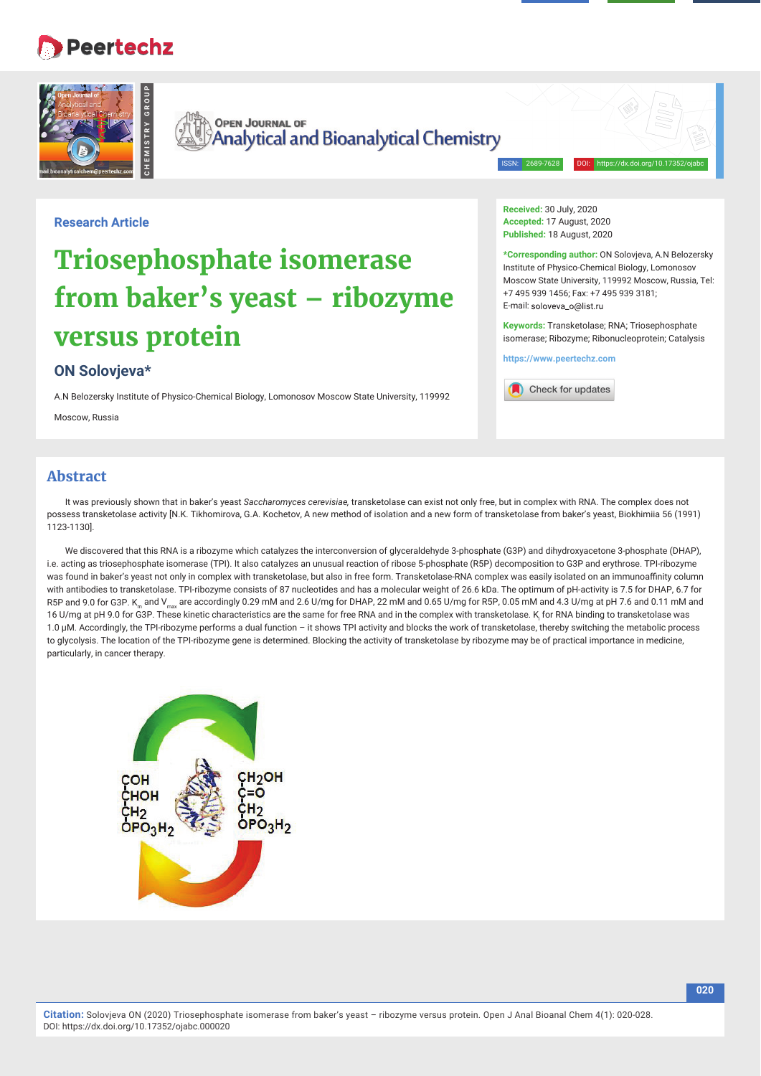## **Peertechz**



**OPEN JOURNAL OF Analytical and Bioanalytical Chemistry** 

ISSN: 2689-7628 DOI: https://dx.doi.org/10.17352/ojabc

## **Research Article**

# **Triosephosphate isomerase from baker's yeast – ribozyme versus protein**

## **ON Solovjeva\***

A.N Belozersky Institute of Physico-Chemical Biology, Lomonosov Moscow State University, 119992

Moscow, Russia

**Received:** 30 July, 2020 **Accepted:** 17 August, 2020 Published: 18 August, 2020

**\*Corresponding author:** ON Solovjeva, A.N Belozersky Institute of Physico-Chemical Biology, Lomonosov Moscow State University, 119992 Moscow, Russia, Tel: +7 495 939 1456; Fax: +7 495 939 3181; E-mail: soloveva\_o@list.ru

**Keywords:** Transketolase; RNA; Triosephosphate isomerase; Ribozyme; Ribonucleoprotein; Catalysis

**https://www.peertechz.com**



## **Abstract**

It was previously shown that in baker's yeast *Saccharomyces cerevisiae,* transketolase can exist not only free, but in complex with RNA. The complex does not possess transketolase activity [N.K. Tikhomirova, G.A. Kochetov, A new method of isolation and a new form of transketolase from baker's yeast, Biokhimiia 56 (1991) 1123-1130].

We discovered that this RNA is a ribozyme which catalyzes the interconversion of glyceraldehyde 3-phosphate (G3P) and dihydroxyacetone 3-phosphate (DHAP), i.e. acting as triosephosphate isomerase (TPI). It also catalyzes an unusual reaction of ribose 5-phosphate (R5P) decomposition to G3P and erythrose. TPI-ribozyme was found in baker's yeast not only in complex with transketolase, but also in free form. Transketolase-RNA complex was easily isolated on an immunoaffinity column with antibodies to transketolase. TPI-ribozyme consists of 87 nucleotides and has a molecular weight of 26.6 kDa. The optimum of pH-activity is 7.5 for DHAP, 6.7 for R5P and 9.0 for G3P. K<sub>m</sub> and V<sub>max</sub> are accordingly 0.29 mM and 2.6 U/mg for DHAP, 22 mM and 0.65 U/mg for R5P, 0.05 mM and 4.3 U/mg at pH 7.6 and 0.11 mM and 16 U/mg at pH 9.0 for G3P. These kinetic characteristics are the same for free RNA and in the complex with transketolase. K<sub><sub>i</sub> for RNA binding to transketolase was</sub> 1.0 μM. Accordingly, the TPI-ribozyme performs a dual function – it shows TPI activity and blocks the work of transketolase, thereby switching the metabolic process to glycolysis. The location of the TPI-ribozyme gene is determined. Blocking the activity of transketolase by ribozyme may be of practical importance in medicine, particularly, in cancer therapy.

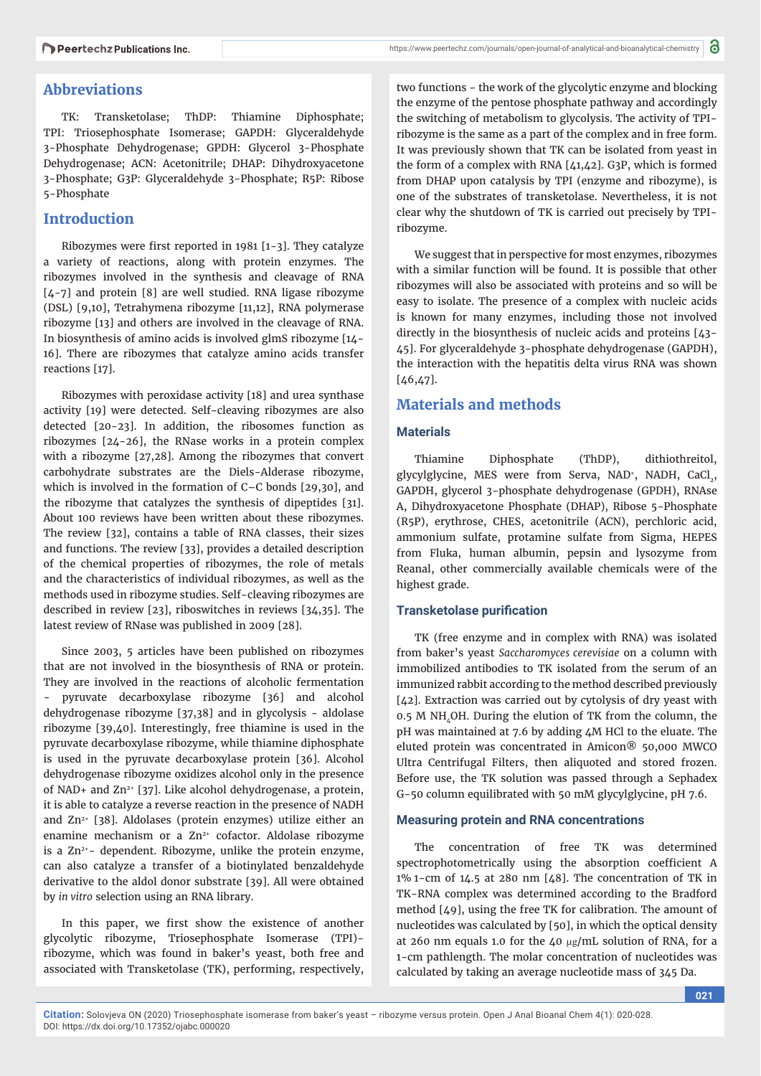## **Abbreviations**

TK: Transketolase; ThDP: Thiamine Diphosphate; TPI: Triosephosphate Isomerase; GAPDH: Glyceraldehyde 3-Phosphate Dehydrogenase; GPDH: Glycerol 3-Phosphate Dehydrogenase; ACN: Acetonitrile; DHAP: Dihydroxyacetone 3-Phosphate; G3P: Glyceraldehyde 3-Phosphate; R5P: Ribose 5-Phosphate

## **Introduction**

Ribozymes were first reported in 1981  $[1-3]$ . They catalyze a variety of reactions, along with protein enzymes. The ribozymes involved in the synthesis and cleavage of RNA [4-7] and protein [8] are well studied. RNA ligase ribozyme (DSL) [9,10], Tetrahymena ribozyme [11,12], RNA polymerase ribozyme [13] and others are involved in the cleavage of RNA. In biosynthesis of amino acids is involved glmS ribozyme [14- 16]. There are ribozymes that catalyze amino acids transfer reactions [17].

Ribozymes with peroxidase activity [18] and urea synthase activity [19] were detected. Self-cleaving ribozymes are also detected [20-23]. In addition, the ribosomes function as ribozymes [24-26], the RNase works in a protein complex with a ribozyme [27,28]. Among the ribozymes that convert carbohydrate substrates are the Diels-Alderase ribozyme, which is involved in the formation of C–C bonds [29,30], and the ribozyme that catalyzes the synthesis of dipeptides [31]. About 100 reviews have been written about these ribozymes. The review [32], contains a table of RNA classes, their sizes and functions. The review [33], provides a detailed description of the chemical properties of ribozymes, the role of metals and the characteristics of individual ribozymes, as well as the methods used in ribozyme studies. Self-cleaving ribozymes are described in review [23], riboswitches in reviews [34,35]. The latest review of RNase was published in 2009 [28].

Since 2003, 5 articles have been published on ribozymes that are not involved in the biosynthesis of RNA or protein. They are involved in the reactions of alcoholic fermentation pyruvate decarboxylase ribozyme [36] and alcohol dehydrogenase ribozyme [37,38] and in glycolysis - aldolase ribozyme [39,40]. Interestingly, free thiamine is used in the pyruvate decarboxylase ribozyme, while thiamine diphosphate is used in the pyruvate decarboxylase protein [36]. Alcohol dehydrogenase ribozyme oxidizes alcohol only in the presence of NAD+ and Zn<sup>2+</sup> [37]. Like alcohol dehydrogenase, a protein, it is able to catalyze a reverse reaction in the presence of NADH and  $Zn^{2+}$  [38]. Aldolases (protein enzymes) utilize either an enamine mechanism or a  $Zn^{2+}$  cofactor. Aldolase ribozyme is a  $Zn^{2+}$ - dependent. Ribozyme, unlike the protein enzyme, can also catalyze a transfer of a biotinylated benzaldehyde derivative to the aldol donor substrate [39]. All were obtained by *in vitro* selection using an RNA library.

In this paper, we first show the existence of another glycolytic ribozyme, Triosephosphate Isomerase (TPI) ribozyme, which was found in baker's yeast, both free and associated with Transketolase (TK), performing, respectively,

two functions - the work of the glycolytic enzyme and blocking the enzyme of the pentose phosphate pathway and accordingly the switching of metabolism to glycolysis. The activity of TPIribozyme is the same as a part of the complex and in free form. It was previously shown that TK can be isolated from yeast in the form of a complex with RNA [41,42]. G3P, which is formed from DHAP upon catalysis by TPI (enzyme and ribozyme), is one of the substrates of transketolase. Nevertheless, it is not clear why the shutdown of TK is carried out precisely by TPIribozyme.

We suggest that in perspective for most enzymes, ribozymes with a similar function will be found. It is possible that other ribozymes will also be associated with proteins and so will be easy to isolate. The presence of a complex with nucleic acids is known for many enzymes, including those not involved directly in the biosynthesis of nucleic acids and proteins [43- 45]. For glyceraldehyde 3-phosphate dehydrogenase (GAPDH), the interaction with the hepatitis delta virus RNA was shown  $[46, 47]$ .

## **Materials and methods**

#### **Materials**

Thiamine Diphosphate (ThDP), dithiothreitol, glycylglycine, MES were from Serva, NAD<sup>+</sup>, NADH, CaCl<sub>2</sub>, GAPDH, glycerol 3-phosphate dehydrogenase (GPDH), RNAse A, Dihydroxyacetone Phosphate (DHAP), Ribose 5-Phosphate (R5P), erythrose, CHES, acetonitrile (ACN), perchloric acid, ammonium sulfate, protamine sulfate from Sigma, HEPES from Fluka, human albumin, pepsin and lysozyme from Reanal, other commercially available chemicals were of the highest grade.

## **Transketolase purification**

TK (free enzyme and in complex with RNA) was isolated from baker's yeast *Saccharomyces cerevisiae* on a column with immobilized antibodies to TK isolated from the serum of an immunized rabbit according to the method described previously [42]. Extraction was carried out by cytolysis of dry yeast with 0.5 M NH, OH. During the elution of TK from the column, the pH was maintained at 7.6 by adding 4M HCl to the eluate. The eluted protein was concentrated in Amicon® 50,000 MWCO Ultra Centrifugal Filters, then aliquoted and stored frozen. Before use, the TK solution was passed through a Sephadex G-50 column equilibrated with 50 mM glycylglycine, pH 7.6.

#### **Measuring protein and RNA concentrations**

The concentration of free TK was determined spectrophotometrically using the absorption coefficient A  $1\%$  1-cm of  $14.5$  at 280 nm [48]. The concentration of TK in TK-RNA complex was determined according to the Bradford method [49], using the free TK for calibration. The amount of nucleotides was calculated by [50], in which the optical density at 260 nm equals 1.0 for the 40  $\mu$ g/mL solution of RNA, for a 1-cm pathlength. The molar concentration of nucleotides was calculated by taking an average nucleotide mass of 345 Da.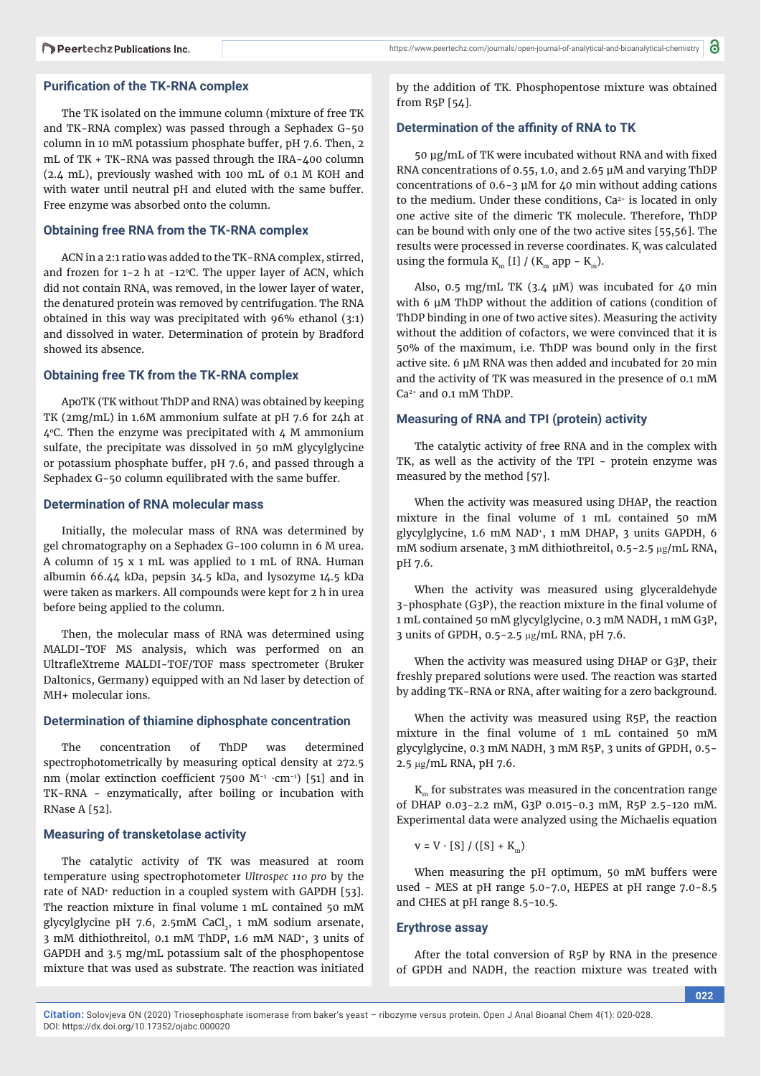The TK isolated on the immune column (mixture of free TK and TK-RNA complex) was passed through a Sephadex G-50 column in 10 mM potassium phosphate buffer, pH 7.6. Then, 2 mL of TK + TK-RNA was passed through the IRA-400 column (2.4 mL), previously washed with 100 mL of 0.1 M KOH and with water until neutral pH and eluted with the same buffer. Free enzyme was absorbed onto the column.

## **Obtaining free RNA from the TK-RNA complex**

ACN in a 2:1 ratio was added to the TK-RNA complex, stirred, and frozen for  $1-2$  h at  $-12^{\circ}$ C. The upper layer of ACN, which did not contain RNA, was removed, in the lower layer of water, the denatured protein was removed by centrifugation. The RNA obtained in this way was precipitated with 96% ethanol (3:1) and dissolved in water. Determination of protein by Bradford showed its absence.

#### **Obtaining free TK from the TK-RNA complex**

ApoTK (TK without ThDP and RNA) was obtained by keeping TK (2mg/mL) in 1.6M ammonium sulfate at pH 7.6 for 24h at  $4^{\circ}$ C. Then the enzyme was precipitated with  $4$  M ammonium sulfate, the precipitate was dissolved in 50 mM glycylglycine or potassium phosphate buffer, pH 7.6, and passed through a Sephadex G-50 column equilibrated with the same buffer.

#### **Determination of RNA molecular mass**

Initially, the molecular mass of RNA was determined by gel chromatography on a Sephadex G-100 column in 6 M urea. A column of 15 x 1 mL was applied to 1 mL of RNA. Human albumin 66.44 kDa, pepsin 34.5 kDa, and lysozyme 14.5 kDa were taken as markers. All compounds were kept for 2 h in urea before being applied to the column.

Then, the molecular mass of RNA was determined using MALDI-TOF MS analysis, which was performed on an UltrafleXtreme MALDI-TOF/TOF mass spectrometer (Bruker Daltonics, Germany) equipped with an Nd laser by detection of MH+ molecular ions.

### **Determination of thiamine diphosphate concentration**

The concentration of ThDP was determined spectrophotometrically by measuring optical density at 272.5 nm (molar extinction coefficient 7500 M<sup>-1</sup> ·cm<sup>-1</sup>) [51] and in TK-RNA - enzymatically, after boiling or incubation with RNase A [52].

#### **Measuring of transketolase activity**

The catalytic activity of TK was measured at room temperature using spectrophotometer *Ultrospec 110 pro* by the rate of NAD<sup>+</sup> reduction in a coupled system with GAPDH [53]. The reaction mixture in final volume 1 mL contained 50 mM glycylglycine pH 7.6, 2.5mM CaCl,, 1 mM sodium arsenate, 3 mM dithiothreitol, 0.1 mM ThDP, 1.6 mM NAD+, 3 units of GAPDH and 3.5 mg/mL potassium salt of the phosphopentose mixture that was used as substrate. The reaction was initiated

https://www.peertechz.com/journals/open-journal-of-analytical-and-bioanalytical-chemistry

by the addition of TK. Phosphopentose mixture was obtained from R5P [54].

#### **Determination of the affi nity of RNA to TK**

50 μg/mL of TK were incubated without RNA and with fixed RNA concentrations of 0.55, 1.0, and 2.65 μM and varying ThDP concentrations of 0.6-3 μM for 40 min without adding cations to the medium. Under these conditions,  $Ca<sup>2+</sup>$  is located in only one active site of the dimeric TK molecule. Therefore, ThDP can be bound with only one of the two active sites [55,56]. The results were processed in reverse coordinates.  $K_i$  was calculated using the formula K<sub>m</sub> [I] / (K<sub>m</sub> app - K<sub>m</sub>).

Also, 0.5 mg/mL TK (3.4  $\mu$ M) was incubated for 40 min with 6 μM ThDP without the addition of cations (condition of ThDP binding in one of two active sites). Measuring the activity without the addition of cofactors, we were convinced that it is 50% of the maximum, i.e. ThDP was bound only in the first active site. 6 μM RNA was then added and incubated for 20 min and the activity of TK was measured in the presence of 0.1 mM Ca2+ and 0.1 mM ThDP.

#### **Measuring of RNA and TPI (protein) activity**

The catalytic activity of free RNA and in the complex with TK, as well as the activity of the TPI - protein enzyme was measured by the method [57].

When the activity was measured using DHAP, the reaction mixture in the final volume of  $1$  mL contained  $50$  mM glycylglycine, 1.6 mM NAD+, 1 mM DHAP, 3 units GAPDH, 6 mM sodium arsenate, 3 mM dithiothreitol, 0.5-2.5 µg/mL RNA, pH 7.6.

When the activity was measured using glyceraldehyde 3-phosphate (G3P), the reaction mixture in the final volume of 1 mL contained 50 mM glycylglycine, 0.3 mM NADH, 1 mM G3P, 3 units of GPDH, 0.5-2.5 µg/mL RNA, pH 7.6.

When the activity was measured using DHAP or G3P, their freshly prepared solutions were used. The reaction was started by adding TK-RNA or RNA, after waiting for a zero background.

When the activity was measured using R5P, the reaction mixture in the final volume of  $1$  mL contained  $50$  mM glycylglycine, 0.3 mM NADH, 3 mM R5P, 3 units of GPDH, 0.5- 2.5 µg/mL RNA, pH 7.6.

 $K<sub>m</sub>$  for substrates was measured in the concentration range of DHAP 0.03-2.2 mM, G3P 0.015-0.3 mM, R5P 2.5-120 mM. Experimental data were analyzed using the Michaelis equation

$$
v = V \cdot [S] / ([S] + Km)
$$

When measuring the pH optimum, 50 mM buffers were used - MES at pH range 5.0-7.0, HEPES at pH range 7.0-8.5 and CHES at pH range 8.5-10.5.

## **Erythrose assay**

After the total conversion of R5P by RNA in the presence of GPDH and NADH, the reaction mixture was treated with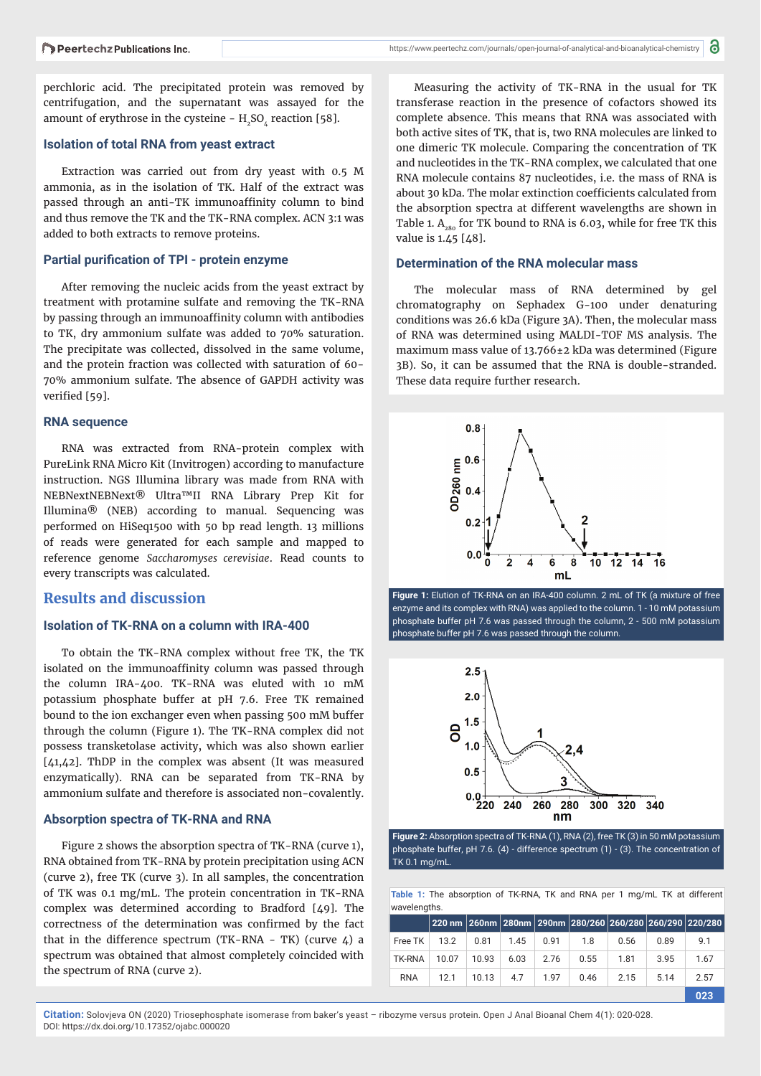perchloric acid. The precipitated protein was removed by centrifugation, and the supernatant was assayed for the amount of erythrose in the cysteine -  $H_2SO_4$  reaction [58].

#### **Isolation of total RNA from yeast extract**

Extraction was carried out from dry yeast with 0.5 M ammonia, as in the isolation of TK. Half of the extract was passed through an anti-TK immunoaffinity column to bind and thus remove the TK and the TK-RNA complex. ACN 3:1 was added to both extracts to remove proteins.

#### **Partial purification of TPI - protein enzyme**

After removing the nucleic acids from the yeast extract by treatment with protamine sulfate and removing the TK-RNA by passing through an immunoaffinity column with antibodies to TK, dry ammonium sulfate was added to 70% saturation. The precipitate was collected, dissolved in the same volume, and the protein fraction was collected with saturation of 60- 70% ammonium sulfate. The absence of GAPDH activity was verified [59].

#### **RNA sequence**

RNA was extracted from RNA-protein complex with PureLink RNA Micro Kit (Invitrogen) according to manufacture instruction. NGS Illumina library was made from RNA with NEBNextNEBNext® Ultra™II RNA Library Prep Kit for Illumina® (NEB) according to manual. Sequencing was performed on HiSeq1500 with 50 bp read length. 13 millions of reads were generated for each sample and mapped to reference genome *Saccharomyses cerevisiae*. Read counts to every transcripts was calculated.

## **Results and discussion**

## **Isolation of TK-RNA on a column with IRA-400**

To obtain the TK-RNA complex without free TK, the TK isolated on the immunoaffinity column was passed through the column IRA-400. TK-RNA was eluted with 10 mM potassium phosphate buffer at pH 7.6. Free TK remained bound to the ion exchanger even when passing 500 mM buffer through the column (Figure 1). The TK-RNA complex did not possess transketolase activity, which was also shown earlier [41,42]. ThDP in the complex was absent (It was measured enzymatically). RNA can be separated from TK-RNA by ammonium sulfate and therefore is associated non-covalently.

#### **Absorption spectra of TK-RNA and RNA**

Figure 2 shows the absorption spectra of TK-RNA (curve 1), RNA obtained from TK-RNA by protein precipitation using ACN (curve 2), free TK (curve 3). In all samples, the concentration of TK was 0.1 mg/mL. The protein concentration in TK-RNA complex was determined according to Bradford [49]. The correctness of the determination was confirmed by the fact that in the difference spectrum (TK-RNA - TK) (curve  $\ddot{4}$ ) a spectrum was obtained that almost completely coincided with the spectrum of RNA (curve 2).

Measuring the activity of TK-RNA in the usual for TK transferase reaction in the presence of cofactors showed its complete absence. This means that RNA was associated with both active sites of TK, that is, two RNA molecules are linked to one dimeric TK molecule. Comparing the concentration of TK and nucleotides in the TK-RNA complex, we calculated that one RNA molecule contains 87 nucleotides, i.e. the mass of RNA is about 30 kDa. The molar extinction coefficients calculated from the absorption spectra at different wavelengths are shown in Table 1.  $A_{280}$  for TK bound to RNA is 6.03, while for free TK this value is 1.45 [48].

#### **Determination of the RNA molecular mass**

The molecular mass of RNA determined by gel chromatography on Sephadex G-100 under denaturing conditions was 26.6 kDa (Figure 3A). Then, the molecular mass of RNA was determined using MALDI-TOF MS analysis. The maximum mass value of 13.766±2 kDa was determined (Figure 3B). So, it can be assumed that the RNA is double-stranded. These data require further research.







**Figure 2:** Absorption spectra of TK-RNA (1), RNA (2), free TK (3) in 50 mM potassium phosphate buffer, pH 7.6. (4) - difference spectrum (1) - (3). The concentration of TK 0.1 mg/mL.

**Table 1:** The absorption of TK-RNA, TK and RNA per 1 mg/mL TK at different wavelengths.

|            |       |       |      |      |      |      |      | 220 nm 260nm 280nm 290nm 280/260 260/280 260/290 220/280 |
|------------|-------|-------|------|------|------|------|------|----------------------------------------------------------|
| Free TK    | 13.2  | 0.81  | 1.45 | 0.91 | 1.8  | 0.56 | 0.89 | 9.1                                                      |
| TK-RNA     | 10.07 | 10.93 | 6.03 | 2.76 | 0.55 | 1.81 | 3.95 | 1.67                                                     |
| <b>RNA</b> | 12.1  | 10.13 | 4.7  | 1.97 | 0.46 | 2.15 | 5.14 | 2.57                                                     |
|            |       |       |      |      |      |      |      | 023                                                      |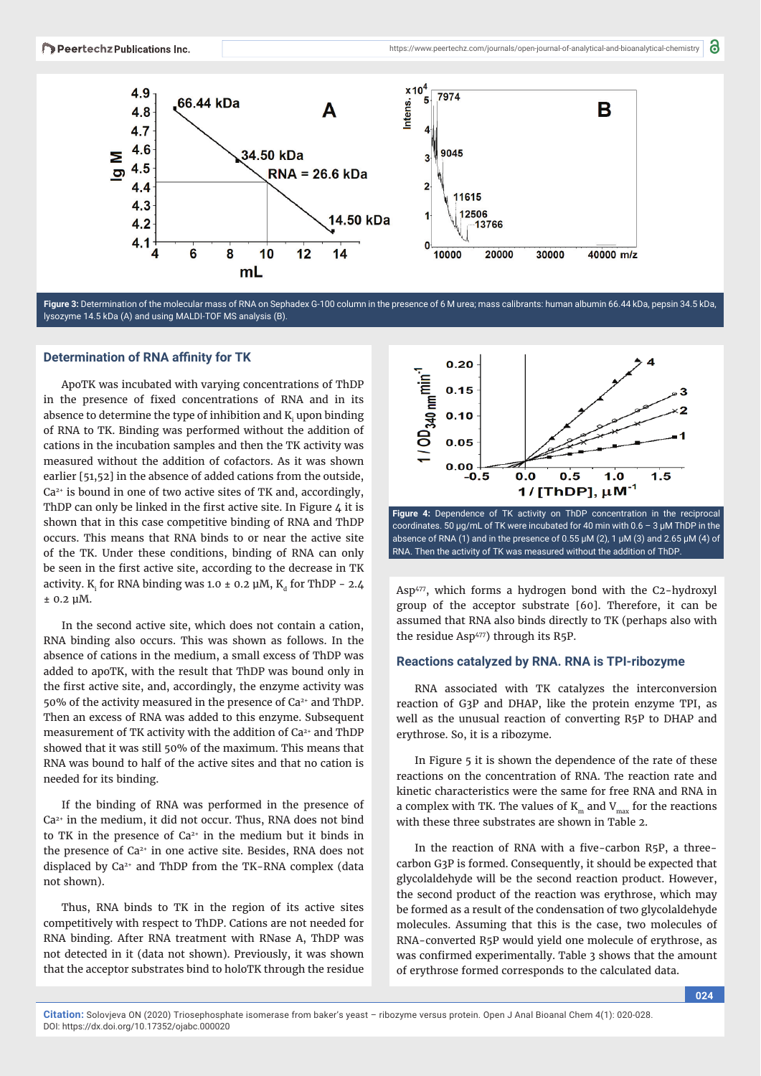

**Figure 3:** Determination of the molecular mass of RNA on Sephadex G-100 column in the presence of 6 M urea; mass calibrants: human albumin 66.44 kDa, pepsin 34.5 kDa, lysozyme 14.5 kDa (A) and using MALDI-TOF MS analysis (B).

#### **Determination of RNA affinity for TK**

ApoTK was incubated with varying concentrations of ThDP in the presence of fixed concentrations of RNA and in its absence to determine the type of inhibition and  $\mathrm{K}_{\mathrm{i}}$  upon binding of RNA to TK. Binding was performed without the addition of cations in the incubation samples and then the TK activity was measured without the addition of cofactors. As it was shown earlier [51,52] in the absence of added cations from the outside,  $Ca<sup>2+</sup>$  is bound in one of two active sites of TK and, accordingly, ThDP can only be linked in the first active site. In Figure  $\mu$  it is shown that in this case competitive binding of RNA and ThDP occurs. This means that RNA binds to or near the active site of the TK. Under these conditions, binding of RNA can only be seen in the first active site, according to the decrease in TK activity. K<sub>i</sub> for RNA binding was 1.0  $\pm$  0.2 µM, K<sub>d</sub> for ThDP - 2.4 ± 0.2 μM.

In the second active site, which does not contain a cation, RNA binding also occurs. This was shown as follows. In the absence of cations in the medium, a small excess of ThDP was added to apoTK, with the result that ThDP was bound only in the first active site, and, accordingly, the enzyme activity was 50% of the activity measured in the presence of  $Ca<sup>2+</sup>$  and ThDP. Then an excess of RNA was added to this enzyme. Subsequent measurement of TK activity with the addition of Ca<sup>2+</sup> and ThDP showed that it was still 50% of the maximum. This means that RNA was bound to half of the active sites and that no cation is needed for its binding.

If the binding of RNA was performed in the presence of Ca2+ in the medium, it did not occur. Thus, RNA does not bind to TK in the presence of  $Ca<sup>2+</sup>$  in the medium but it binds in the presence of Ca<sup>2+</sup> in one active site. Besides, RNA does not displaced by Ca<sup>2+</sup> and ThDP from the TK-RNA complex (data not shown).

Thus, RNA binds to TK in the region of its active sites competitively with respect to ThDP. Cations are not needed for RNA binding. After RNA treatment with RNase A, ThDP was not detected in it (data not shown). Previously, it was shown that the acceptor substrates bind to holoTK through the residue



coordinates. 50 μg/mL of TK were incubated for 40 min with 0.6 – 3 μM ThDP in the absence of RNA (1) and in the presence of 0.55  $\mu$ M (2), 1  $\mu$ M (3) and 2.65  $\mu$ M (4) of RNA. Then the activity of TK was measured without the addition of ThDP.

Asp<sup>477</sup>, which forms a hydrogen bond with the C2-hydroxyl group of the acceptor substrate [60]. Therefore, it can be assumed that RNA also binds directly to TK (perhaps also with the residue Asp<sup>477</sup>) through its R5P.

#### **Reactions catalyzed by RNA. RNA is TPI-ribozyme**

RNA associated with TK catalyzes the interconversion reaction of G3P and DHAP, like the protein enzyme TPI, as well as the unusual reaction of converting R5P to DHAP and erythrose. So, it is a ribozyme.

In Figure 5 it is shown the dependence of the rate of these reactions on the concentration of RNA. The reaction rate and kinetic characteristics were the same for free RNA and RNA in a complex with TK. The values of  $K_m$  and  $V_{max}$  for the reactions with these three substrates are shown in Table 2.

In the reaction of RNA with a five-carbon R5P, a threecarbon G3P is formed. Consequently, it should be expected that glycolaldehyde will be the second reaction product. However, the second product of the reaction was erythrose, which may be formed as a result of the condensation of two glycolaldehyde molecules. Assuming that this is the case, two molecules of RNA-converted R5P would yield one molecule of erythrose, as was confirmed experimentally. Table 3 shows that the amount of erythrose formed corresponds to the calculated data.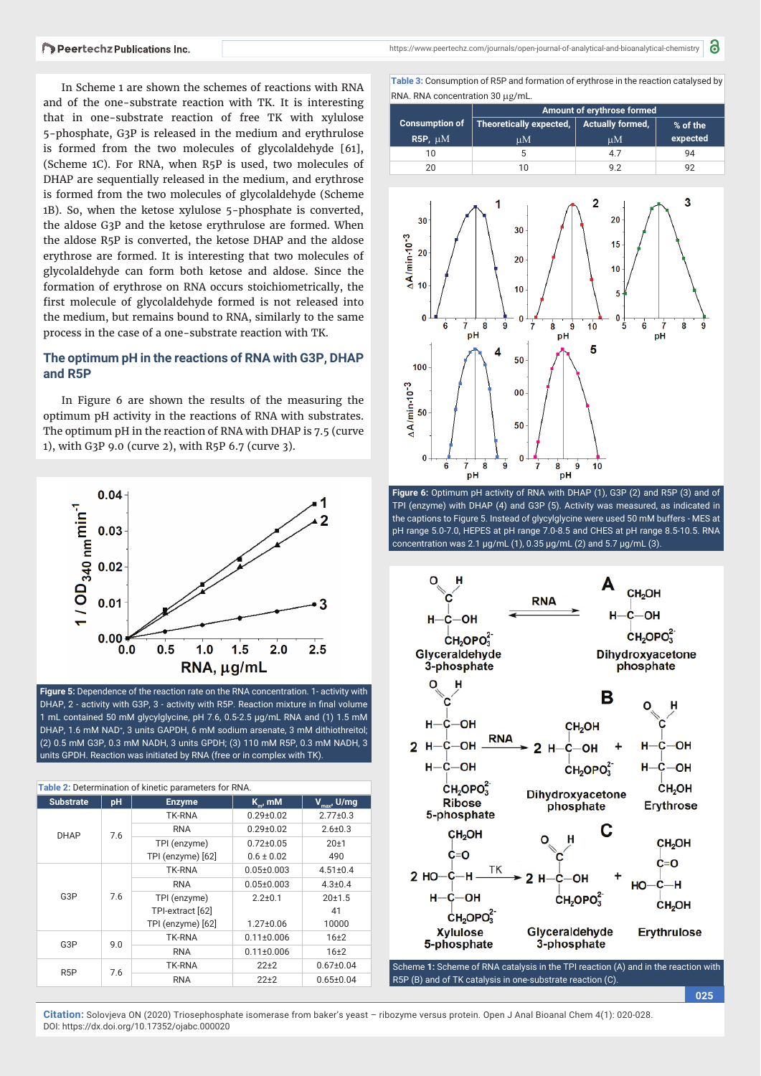In Scheme 1 are shown the schemes of reactions with RNA and of the one-substrate reaction with TK. It is interesting that in one-substrate reaction of free TK with xylulose 5-phosphate, G3P is released in the medium and erythrulose is formed from the two molecules of glycolaldehyde [61], (Scheme 1C). For RNA, when R5P is used, two molecules of DHAP are sequentially released in the medium, and erythrose is formed from the two molecules of glycolaldehyde (Scheme 1B). So, when the ketose xylulose 5-phosphate is converted, the aldose G3P and the ketose erythrulose are formed. When the aldose R5P is converted, the ketose DHAP and the aldose erythrose are formed. It is interesting that two molecules of glycolaldehyde can form both ketose and aldose. Since the formation of erythrose on RNA occurs stoichiometrically, the first molecule of glycolaldehyde formed is not released into the medium, but remains bound to RNA, similarly to the same process in the case of a one-substrate reaction with TK.

## **The optimum pH in the reactions of RNA with G3P, DHAP and R5P**

In Figure 6 are shown the results of the measuring the optimum pH activity in the reactions of RNA with substrates. The optimum pH in the reaction of RNA with DHAP is 7.5 (curve 1), with G3P 9.0 (curve 2), with R5P 6.7 (curve 3).



**Figure 5:** Dependence of the reaction rate on the RNA concentration. 1- activity with DHAP, 2 - activity with G3P, 3 - activity with R5P. Reaction mixture in final volume 1 mL contained 50 mM glycylglycine, pH 7.6, 0.5-2.5 μg/mL RNA and (1) 1.5 mM DHAP, 1.6 mM NAD<sup>+</sup>, 3 units GAPDH, 6 mM sodium arsenate, 3 mM dithiothreitol; (2) 0.5 mM G3P, 0.3 mM NADH, 3 units GPDH; (3) 110 mM R5P, 0.3 mM NADH, 3 units GPDH. Reaction was initiated by RNA (free or in complex with TK).

| Table 2: Determination of kinetic parameters for RNA. |     |                   |                  |                         |  |
|-------------------------------------------------------|-----|-------------------|------------------|-------------------------|--|
| <b>Substrate</b>                                      | pH  | <b>Enzyme</b>     | $K_{m}$ , mM     | $V_{\text{max}}$ , U/mg |  |
|                                                       |     | <b>TK-RNA</b>     | $0.29 \pm 0.02$  | $2.77 \pm 0.3$          |  |
| <b>DHAP</b>                                           | 7.6 | <b>RNA</b>        | $0.29 \pm 0.02$  | $2.6 \pm 0.3$           |  |
|                                                       |     | TPI (enzyme)      | $0.72 \pm 0.05$  | $20+1$                  |  |
|                                                       |     | TPI (enzyme) [62] | $0.6 \pm 0.02$   | 490                     |  |
|                                                       |     | <b>TK-RNA</b>     | $0.05 \pm 0.003$ | $4.51 \pm 0.4$          |  |
|                                                       |     | <b>RNA</b>        | $0.05 \pm 0.003$ | $4.3 \pm 0.4$           |  |
| G3P                                                   | 7.6 | TPI (enzyme)      | $2.2 + 0.1$      | 20±1.5                  |  |
|                                                       |     | TPI-extract [62]  |                  | 41                      |  |
|                                                       |     | TPI (enzyme) [62] | $1.27 \pm 0.06$  | 10000                   |  |
| G3P                                                   | 9.0 | <b>TK-RNA</b>     | $0.11 \pm 0.006$ | 16 <sub>±2</sub>        |  |
|                                                       |     | <b>RNA</b>        | $0.11 \pm 0.006$ | $16+2$                  |  |
| R <sub>5</sub> P                                      | 7.6 | TK-RNA            | $22+2$           | $0.67 \pm 0.04$         |  |
|                                                       |     | <b>RNA</b>        | $22+2$           | $0.65 \pm 0.04$         |  |

8

**Table 3:** Consumption of R5P and formation of erythrose in the reaction catalysed by RNA. RNA concentration 30 µg/mL.

|                | Amount of erythrose formed |                         |          |
|----------------|----------------------------|-------------------------|----------|
| Consumption of | Theoretically expected,    | <b>Actually formed,</b> | % of the |
| $R5P, \mu M$   | uМ                         | иM                      | expected |
| 10             |                            | 4.7                     | 94       |
| 20             |                            | 92                      |          |



**Figure 6:** Optimum pH activity of RNA with DHAP (1), G3P (2) and R5P (3) and of TPI (enzyme) with DHAP (4) and G3P (5). Activity was measured, as indicated in the captions to Figure 5. Instead of glycylglycine were used 50 mM buffers - MES at pH range 5.0-7.0, HEPES at pH range 7.0-8.5 and CHES at pH range 8.5-10.5. RNA concentration was 2.1 μg/mL (1), 0.35 μg/mL (2) and 5.7 μg/mL (3).



Scheme **1:** Scheme of RNA catalysis in the TPI reaction (A) and in the reaction with R5P (B) and of TK catalysis in one-substrate reaction (C).

**025**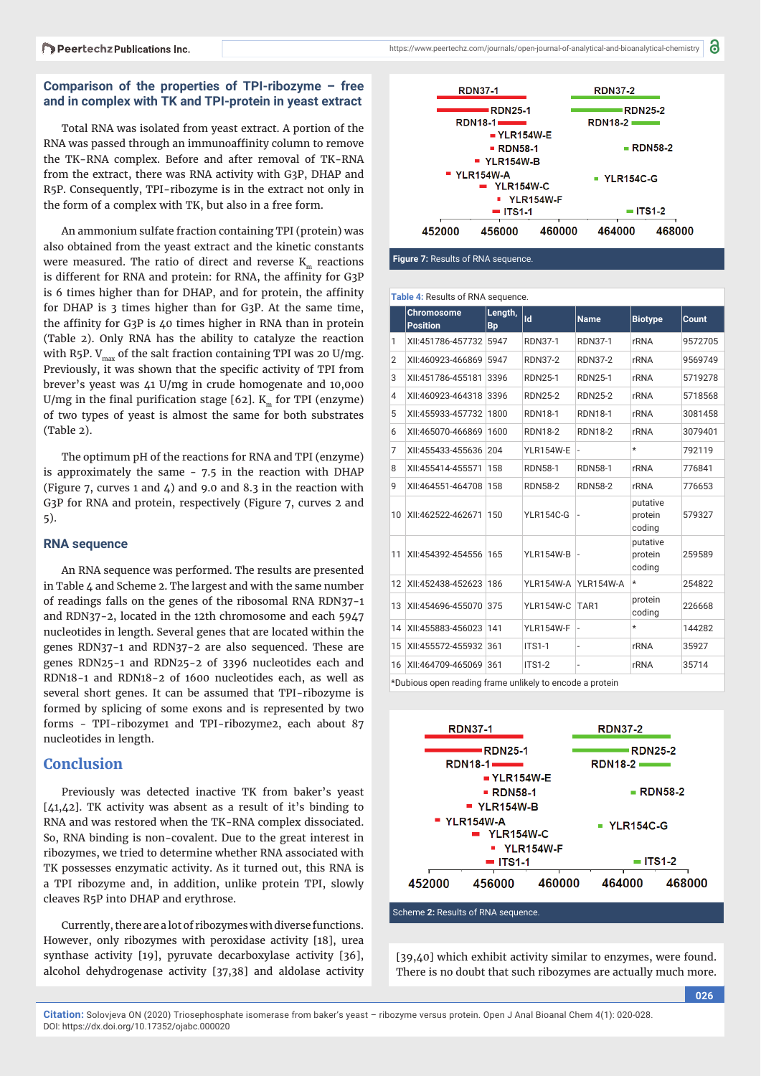## **Comparison of the properties of TPI-ribozyme – free and in complex with TK and TPI-protein in yeast extract**

Total RNA was isolated from yeast extract. A portion of the RNA was passed through an immunoaffinity column to remove the TK-RNA complex. Before and after removal of TK-RNA from the extract, there was RNA activity with G3P, DHAP and R5P. Consequently, TPI-ribozyme is in the extract not only in the form of a complex with TK, but also in a free form.

An ammonium sulfate fraction containing TPI (protein) was also obtained from the yeast extract and the kinetic constants were measured. The ratio of direct and reverse K reactions is different for RNA and protein: for RNA, the affinity for G3P is 6 times higher than for DHAP, and for protein, the affinity for DHAP is 3 times higher than for G3P. At the same time, the affinity for G3P is  $40$  times higher in RNA than in protein (Table 2). Only RNA has the ability to catalyze the reaction with R5P.  $V_{\text{max}}$  of the salt fraction containing TPI was 20 U/mg. Previously, it was shown that the specific activity of TPI from brever's yeast was 41 U/mg in crude homogenate and 10,000 U/mg in the final purification stage  $[62]$ . K<sub>m</sub> for TPI (enzyme) of two types of yeast is almost the same for both substrates (Table 2).

The optimum pH of the reactions for RNA and TPI (enzyme) is approximately the same - 7.5 in the reaction with DHAP (Figure 7, curves 1 and  $\zeta$ ) and 9.0 and 8.3 in the reaction with G3P for RNA and protein, respectively (Figure 7, curves 2 and 5).

#### **RNA sequence**

An RNA sequence was performed. The results are presented in Table 4 and Scheme 2. The largest and with the same number of readings falls on the genes of the ribosomal RNA RDN37-1 and RDN37-2, located in the 12th chromosome and each 5947 nucleotides in length. Several genes that are located within the genes RDN37-1 and RDN37-2 are also sequenced. These are genes RDN25-1 and RDN25-2 of 3396 nucleotides each and RDN18-1 and RDN18-2 of 1600 nucleotides each, as well as several short genes. It can be assumed that TPI-ribozyme is formed by splicing of some exons and is represented by two forms - TPI-ribozyme1 and TPI-ribozyme2, each about 87 nucleotides in length.

## **Conclusion**

Previously was detected inactive TK from baker's yeast [41,42]. TK activity was absent as a result of it's binding to RNA and was restored when the TK-RNA complex dissociated. So, RNA binding is non-covalent. Due to the great interest in ribozymes, we tried to determine whether RNA associated with TK possesses enzymatic activity. As it turned out, this RNA is a TPI ribozyme and, in addition, unlike protein TPI, slowly cleaves R5P into DHAP and erythrose.

Currently, there are a lot of ribozymes with diverse functions. However, only ribozymes with peroxidase activity [18], urea synthase activity [19], pyruvate decarboxylase activity [36], alcohol dehydrogenase activity [37,38] and aldolase activity



**Figure 7:** Results of RNA sequence.

| Table 4: Results of RNA sequence. |  |  |
|-----------------------------------|--|--|
|-----------------------------------|--|--|

|    | <b>Chromosome</b><br><b>Position</b> | Length,<br>Bp | Id               | <b>Name</b>      | <b>Biotype</b>                | Count   |
|----|--------------------------------------|---------------|------------------|------------------|-------------------------------|---------|
| 1  | XII:451786-457732                    | 5947          | <b>RDN37-1</b>   | <b>RDN37-1</b>   | <b>rRNA</b>                   | 9572705 |
| 2  | XII:460923-466869                    | 5947          | <b>RDN37-2</b>   | <b>RDN37-2</b>   | <b>rRNA</b>                   | 9569749 |
| 3  | XII:451786-455181                    | 3396          | <b>RDN25-1</b>   | <b>RDN25-1</b>   | <b>rRNA</b>                   | 5719278 |
| 4  | XII:460923-464318                    | 3396          | <b>RDN25-2</b>   | <b>RDN25-2</b>   | <b>rRNA</b>                   | 5718568 |
| 5  | XII:455933-457732                    | 1800          | <b>RDN18-1</b>   | <b>RDN18-1</b>   | <b>rRNA</b>                   | 3081458 |
| 6  | XII:465070-466869                    | 1600          | <b>RDN18-2</b>   | <b>RDN18-2</b>   | <b>rRNA</b>                   | 3079401 |
| 7  | XII:455433-455636                    | 204           | <b>YLR154W-E</b> | $\overline{a}$   | $\star$                       | 792119  |
| 8  | XII:455414-455571                    | 158           | <b>RDN58-1</b>   | <b>RDN58-1</b>   | rRNA                          | 776841  |
| 9  | XII:464551-464708                    | 158           | <b>RDN58-2</b>   | <b>RDN58-2</b>   | <b>rRNA</b>                   | 776653  |
| 10 | XII:462522-462671                    | 150           | <b>YLR154C-G</b> |                  | putative<br>protein<br>coding | 579327  |
| 11 | XII:454392-454556 165                |               | <b>YLR154W-B</b> | ı.,              | putative<br>protein<br>coding | 259589  |
| 12 | XII:452438-452623                    | 186           | <b>YLR154W-A</b> | <b>YLR154W-A</b> | $\star$                       | 254822  |
| 13 | XII:454696-455070                    | 375           | <b>YLR154W-C</b> | TAR1             | protein<br>coding             | 226668  |
| 14 | XII:455883-456023                    | 141           | <b>YLR154W-F</b> |                  | $^\star$                      | 144282  |
| 15 | XII:455572-455932                    | 361           | <b>ITS1-1</b>    | $\overline{a}$   | <b>rRNA</b>                   | 35927   |
| 16 | XII:464709-465069                    | 361           | <b>ITS1-2</b>    |                  | rRNA                          | 35714   |
|    |                                      |               |                  |                  |                               |         |

\*Dubious open reading frame unlikely to encode a protein



Scheme **2:** Results of RNA sequence.

[39,40] which exhibit activity similar to enzymes, were found. There is no doubt that such ribozymes are actually much more.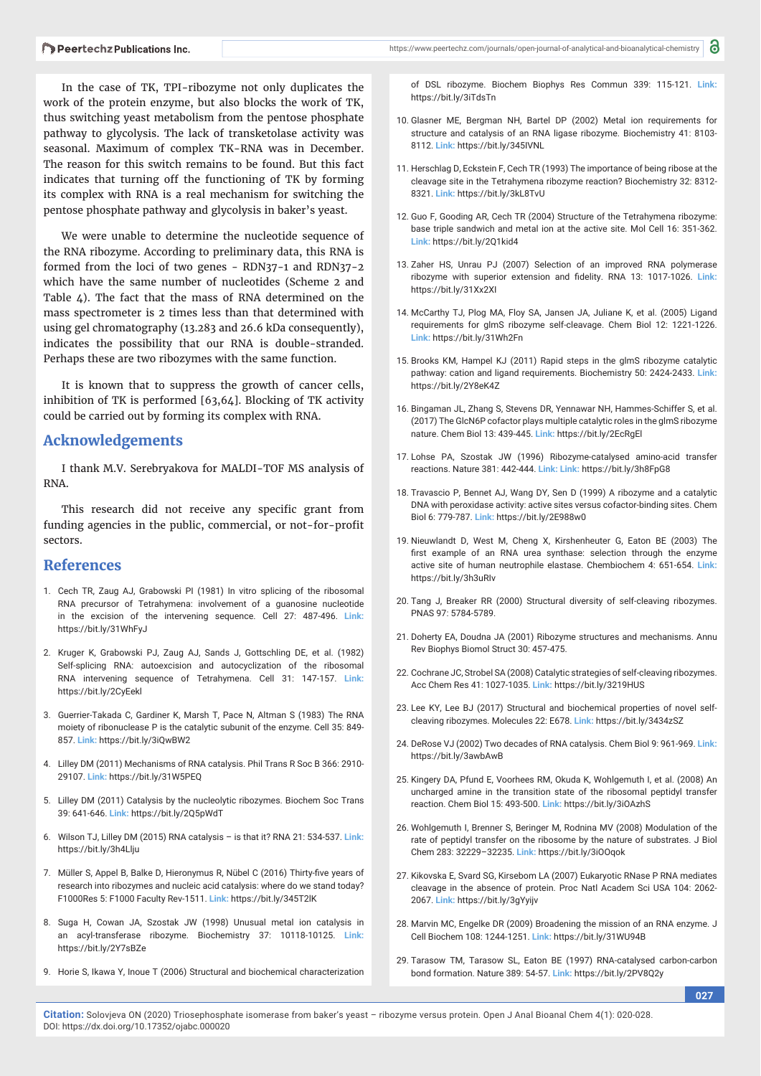In the case of TK, TPI-ribozyme not only duplicates the work of the protein enzyme, but also blocks the work of TK, thus switching yeast metabolism from the pentose phosphate pathway to glycolysis. The lack of transketolase activity was seasonal. Maximum of complex TK-RNA was in December. The reason for this switch remains to be found. But this fact indicates that turning off the functioning of TK by forming its complex with RNA is a real mechanism for switching the pentose phosphate pathway and glycolysis in baker's yeast.

We were unable to determine the nucleotide sequence of the RNA ribozyme. According to preliminary data, this RNA is formed from the loci of two genes - RDN37-1 and RDN37-2 which have the same number of nucleotides (Scheme 2 and Table 4). The fact that the mass of RNA determined on the mass spectrometer is 2 times less than that determined with using gel chromatography (13.283 and 26.6 kDa consequently), indicates the possibility that our RNA is double-stranded. Perhaps these are two ribozymes with the same function.

It is known that to suppress the growth of cancer cells, inhibition of TK is performed [63,64]. Blocking of TK activity could be carried out by forming its complex with RNA.

## **Acknowledgements**

I thank M.V. Serebryakova for MALDI-TOF MS analysis of RNA.

This research did not receive any specific grant from funding agencies in the public, commercial, or not-for-profit sectors.

## **References**

- 1. Cech TR, Zaug AJ, Grabowski PI (1981) In vitro splicing of the ribosomal RNA precursor of Tetrahymena: involvement of a guanosine nucleotide in the excision of the intervening sequence. Cell 27: 487-496. **Link:** https://bit.ly/31WhFyJ
- 2. Kruger K, Grabowski PJ, Zaug AJ, Sands J, Gottschling DE, et al. (1982) Self-splicing RNA: autoexcision and autocyclization of the ribosomal RNA intervening sequence of Tetrahymena. Cell 31: 147-157. **Link:** https://bit.ly/2CyEekl
- 3. Guerrier-Takada C, Gardiner K, Marsh T, Pace N, Altman S (1983) The RNA moiety of ribonuclease P is the catalytic subunit of the enzyme. Cell 35: 849- 857. **Link:** https://bit.ly/3iQwBW2
- 4. Lilley DM (2011) Mechanisms of RNA catalysis. Phil Trans R Soc B 366: 2910- 29107. **Link:** https://bit.ly/31W5PEQ
- 5. Lilley DM (2011) Catalysis by the nucleolytic ribozymes. Biochem Soc Trans 39: 641-646. **Link:** https://bit.ly/2Q5pWdT
- 6. Wilson TJ, Lilley DM (2015) RNA catalysis is that it? RNA 21: 534-537. **Link:** https://bit.ly/3h4Llju
- 7. Müller S, Appel B, Balke D, Hieronymus R, Nübel C (2016) Thirty-five years of research into ribozymes and nucleic acid catalysis: where do we stand today? F1000Res 5: F1000 Faculty Rev-1511. **Link:** https://bit.ly/345T2lK
- 8. Suga H, Cowan JA, Szostak JW (1998) Unusual metal ion catalysis in an acyl-transferase ribozyme. Biochemistry 37: 10118-10125. **Link:** https://bit.ly/2Y7sBZe
- 9. Horie S, Ikawa Y, Inoue T (2006) Structural and biochemical characterization

of DSL ribozyme. Biochem Biophys Res Commun 339: 115-121. **Link:** https://bit.ly/3iTdsTn

- 10. Glasner ME, Bergman NH, Bartel DP (2002) Metal ion requirements for structure and catalysis of an RNA ligase ribozyme. Biochemistry 41: 8103- 8112. **Link:** https://bit.ly/345IVNL
- 11. Herschlag D, Eckstein F, Cech TR (1993) The importance of being ribose at the cleavage site in the Tetrahymena ribozyme reaction? Biochemistry 32: 8312- 8321. **Link:** https://bit.ly/3kL8TvU
- 12. Guo F, Gooding AR, Cech TR (2004) Structure of the Tetrahymena ribozyme: base triple sandwich and metal ion at the active site. Mol Cell 16: 351-362. **Link:** https://bit.ly/2Q1kid4
- 13. Zaher HS, Unrau PJ (2007) Selection of an improved RNA polymerase ribozyme with superior extension and fidelity. RNA 13: 1017-1026. Link: https://bit.ly/31Xx2XI
- 14. McCarthy TJ, Plog MA, Floy SA, Jansen JA, Juliane K, et al. (2005) Ligand requirements for glmS ribozyme self-cleavage. Chem Biol 12: 1221-1226. **Link:** https://bit.ly/31Wh2Fn
- 15. Brooks KM, Hampel KJ (2011) Rapid steps in the glmS ribozyme catalytic pathway: cation and ligand requirements. Biochemistry 50: 2424-2433. **Link:** https://bit.ly/2Y8eK4Z
- 16. Bingaman JL, Zhang S, Stevens DR, Yennawar NH, Hammes-Schiffer S, et al. (2017) The GlcN6P cofactor plays multiple catalytic roles in the glmS ribozyme nature. Chem Biol 13: 439-445. **Link:** https://bit.ly/2EcRgEl
- 17. Lohse PA, Szostak JW (1996) Ribozyme-catalysed amino-acid transfer reactions. Nature 381: 442-444. **Link: Link:** https://bit.ly/3h8FpG8
- 18. Travascio P, Bennet AJ, Wang DY, Sen D (1999) A ribozyme and a catalytic DNA with peroxidase activity: active sites versus cofactor-binding sites. Chem Biol 6: 779-787. **Link:** https://bit.ly/2E988w0
- 19. Nieuwlandt D, West M, Cheng X, Kirshenheuter G, Eaton BE (2003) The first example of an RNA urea synthase: selection through the enzyme active site of human neutrophile elastase. Chembiochem 4: 651-654. **Link:** https://bit.ly/3h3uRIv
- 20. Tang J, Breaker RR (2000) Structural diversity of self-cleaving ribozymes. PNAS 97: 5784-5789.
- 21. Doherty EA, Doudna JA (2001) Ribozyme structures and mechanisms. Annu Rev Biophys Biomol Struct 30: 457-475.
- 22. Cochrane JC, Strobel SA (2008) Catalytic strategies of self-cleaving ribozymes. Acc Chem Res 41: 1027-1035. **Link:** https://bit.ly/3219HUS
- 23. Lee KY, Lee BJ (2017) Structural and biochemical properties of novel selfcleaving ribozymes. Molecules 22: E678. **Link:** https://bit.ly/3434zSZ
- 24. DeRose VJ (2002) Two decades of RNA catalysis. Chem Biol 9: 961-969. **Link:** https://bit.ly/3awbAwB
- 25. Kingery DA, Pfund E, Voorhees RM, Okuda K, Wohlgemuth I, et al. (2008) An uncharged amine in the transition state of the ribosomal peptidyl transfer reaction. Chem Biol 15: 493-500. **Link:** https://bit.ly/3iOAzhS
- 26. Wohlgemuth I, Brenner S, Beringer M, Rodnina MV (2008) Modulation of the rate of peptidyl transfer on the ribosome by the nature of substrates. J Biol Chem 283: 32229–32235. **Link:** https://bit.ly/3iOOqok
- 27. Kikovska E, Svard SG, Kirsebom LA (2007) Eukaryotic RNase P RNA mediates cleavage in the absence of protein. Proc Natl Academ Sci USA 104: 2062- 2067. **Link:** https://bit.ly/3gYyijv
- 28. Marvin MC, Engelke DR (2009) Broadening the mission of an RNA enzyme. J Cell Biochem 108: 1244-1251. **Link:** https://bit.ly/31WU94B
- 29. Tarasow TM, Tarasow SL, Eaton BE (1997) RNA-catalysed carbon-carbon bond formation. Nature 389: 54-57. **Link:** https://bit.ly/2PV8Q2y

**027**